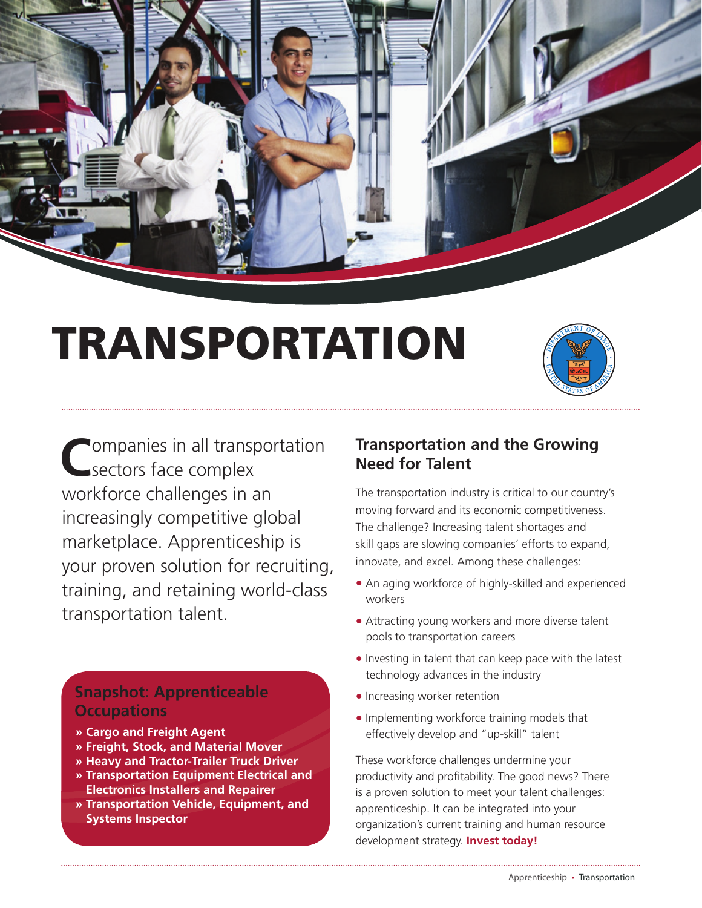

# TRANSPORTATION



Companies in all transportation<br>
sectors face complex workforce challenges in an increasingly competitive global marketplace. Apprenticeship is your proven solution for recruiting, training, and retaining world-class transportation talent.

# **Snapshot: Apprenticeable Occupations**

- **» Cargo and Freight Agent**
- **» Freight, Stock, and Material Mover**
- **» Heavy and Tractor-Trailer Truck Driver**
- **» Transportation Equipment Electrical and Electronics Installers and Repairer**
- **» Transportation Vehicle, Equipment, and Systems Inspector**

## **Transportation and the Growing Need for Talent**

The transportation industry is critical to our country's moving forward and its economic competitiveness. The challenge? Increasing talent shortages and skill gaps are slowing companies' efforts to expand, innovate, and excel. Among these challenges:

- An aging workforce of highly-skilled and experienced workers
- Attracting young workers and more diverse talent pools to transportation careers
- Investing in talent that can keep pace with the latest technology advances in the industry
- Increasing worker retention
- Implementing workforce training models that effectively develop and "up-skill" talent

These workforce challenges undermine your productivity and profitability. The good news? There is a proven solution to meet your talent challenges: apprenticeship. It can be integrated into your organization's current training and human resource development strategy. **Invest today!**